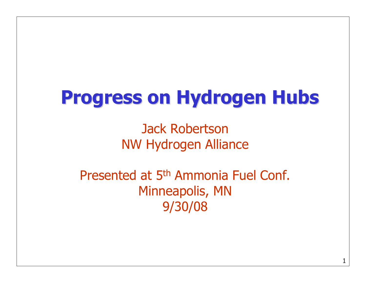# Progress on Hydrogen Hubs

Jack RobertsonNW Hydrogen Alliance

Presented at 5<sup>th</sup> Ammonia Fuel Conf. Minneapolis, MN9/30/08

1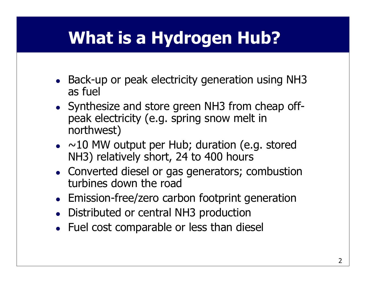# What is a Hydrogen Hub?

- $\bullet$ • Back-up or peak electricity generation using NH3 as fuel
- 0 Synthesize and store green NH3 from cheap offpeak electricity (e.g. spring snow melt in northwest)
- 0  $\bullet$  ~10 MW output per Hub; duration (e.g. stored NH3) relatively short, 24 to 400 hours
- $\bullet$  Converted diesel or gas generators; combustion turbines down the road
- 0 Emission-free/zero carbon footprint generation
- 0 Distributed or central NH3 production
- 0 Fuel cost comparable or less than diesel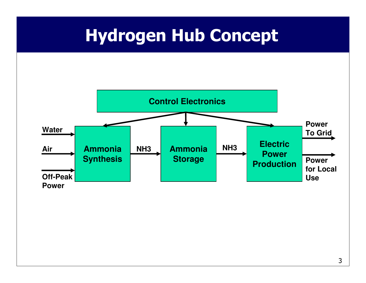## Hydrogen Hub Concept

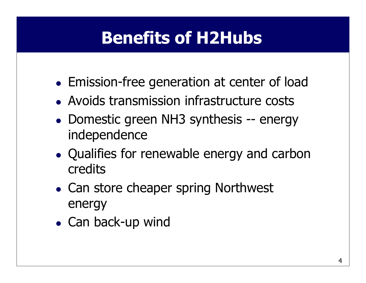# Benefits of H2Hubs

- $\bullet$ Emission-free generation at center of load
- $\bullet$ Avoids transmission infrastructure costs
- $\bullet$ • Domestic green NH3 synthesis -- energy<br>indenendence independence
- $\bullet$  Qualifies for renewable energy and carbon credits
- $\bullet$ • Can store cheaper spring Northwest energy
- $\bullet$ • Can back-up wind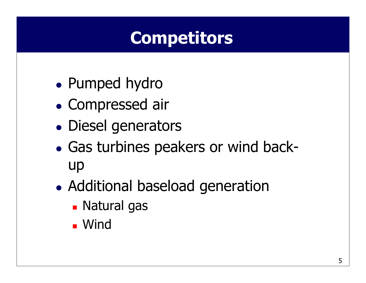# **Competitors**

- $\bullet$ Pumped hydro
- $\bullet$ Compressed air
- $\bullet$ Diesel generators
- $\bullet$ • Gas turbines peakers or wind back-<br> up
- $\bullet$ • Additional baseload generation
	- -Natural gas
	- -Wind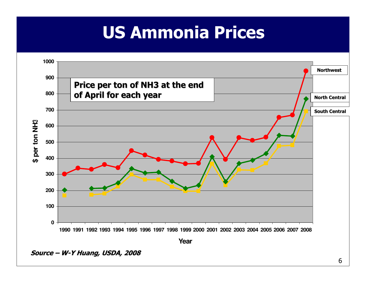# US Ammonia Prices

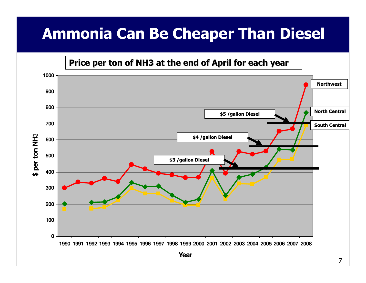### Ammonia Can Be Cheaper Than Diesel

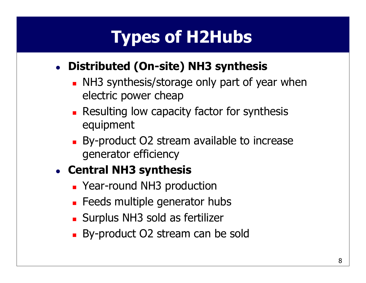# Types of H2Hubs

#### 0 Distributed (On-site) NH3 synthesis

- - NH3 synthesis/storage only part of year when electric power cheap
- -**Resulting low capacity factor for synthesis** equipment
- -By-product O2 stream available to increase generator efficiency

#### 0 • Central NH3 synthesis

- -**Exacted AMS** production
- -**E** Feeds multiple generator hubs
- -Surplus NH3 sold as fertilizer
- -By-product O2 stream can be sold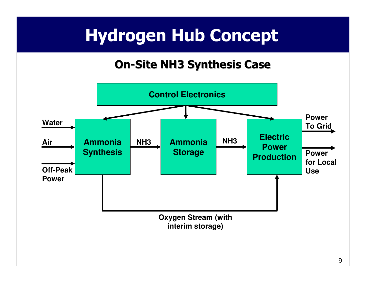# Hydrogen Hub Concept

### On-Site NH3 Synthesis Case

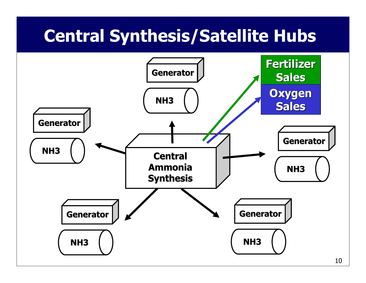## Central Synthesis/Satellite Hubs

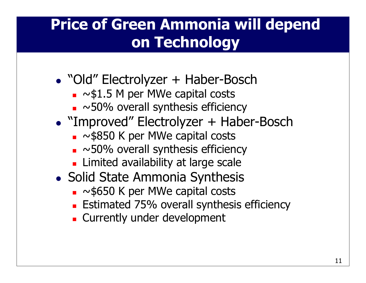### Price of Green Ammonia will depend on Technology

- $\bullet$ • "Old" Electrolyzer + Haber-Bosch<br>•  $\sim$ \$1.5 M per MWe capital costs
	- -■ ~\$1.5 M per MWe capital costs<br>■ ~50% overall synthesis efficien
	- - $\blacksquare$  ~50% overall synthesis efficiency
- $\bullet$ • "Improved" Electrolyzer + Haber-Bosch<br>•  $\sim$ \$850 K per MWe capital costs
	- -■ ~\$850 K per MWe capital costs<br>■ ~50% overall synthesis efficien
	- - $\blacksquare$  ~50% overall synthesis efficiency
	- -**Example 2 Limited availability at large scale**
- $\bullet$ • Solid State Ammonia Synthesis
	- -■ ~\$650 K per MWe capital costs<br>■ Fstimated 75% overall synthesi
	- -**Estimated 75% overall synthesis efficiency**
	- -**Example 2 Currently under development**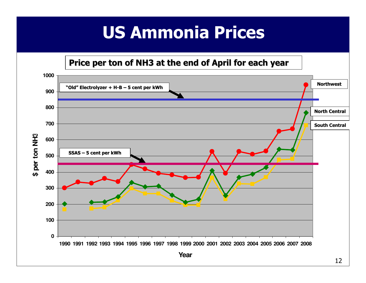# US Ammonia Prices